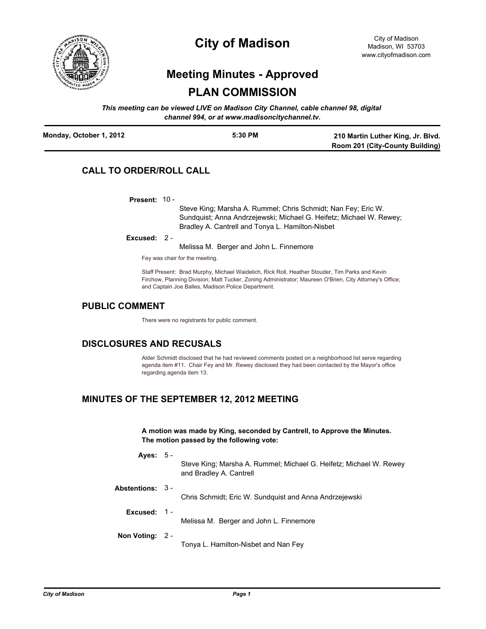

# **City of Madison**

# **Meeting Minutes - Approved PLAN COMMISSION**

*This meeting can be viewed LIVE on Madison City Channel, cable channel 98, digital channel 994, or at www.madisoncitychannel.tv.*

| Monday, October 1, 2012 | 5:30 PM | 210 Martin Luther King, Jr. Blvd. |
|-------------------------|---------|-----------------------------------|
|                         |         | Room 201 (City-County Building)   |

# **CALL TO ORDER/ROLL CALL**

**Present:** 10 -

Steve King; Marsha A. Rummel; Chris Schmidt; Nan Fey; Eric W. Sundquist; Anna Andrzejewski; Michael G. Heifetz; Michael W. Rewey; Bradley A. Cantrell and Tonya L. Hamilton-Nisbet

**Excused:** 2 -

Melissa M. Berger and John L. Finnemore

Fey was chair for the meeting.

Staff Present: Brad Murphy, Michael Waidelich, Rick Roll, Heather Stouder, Tim Parks and Kevin Firchow, Planning Division; Matt Tucker, Zoning Administrator; Maureen O'Brien, City Attorney's Office; and Captain Joe Balles, Madison Police Department.

# **PUBLIC COMMENT**

There were no registrants for public comment.

# **DISCLOSURES AND RECUSALS**

Alder Schmidt disclosed that he had reviewed comments posted on a neighborhood list serve regarding agenda item #11. Chair Fey and Mr. Rewey disclosed they had been contacted by the Mayor's office regarding agenda item 13.

# **MINUTES OF THE SEPTEMBER 12, 2012 MEETING**

**A motion was made by King, seconded by Cantrell, to Approve the Minutes. The motion passed by the following vote:**

**Ayes:** 5 -

Steve King; Marsha A. Rummel; Michael G. Heifetz; Michael W. Rewey and Bradley A. Cantrell

- **Abstentions:** 3 Chris Schmidt; Eric W. Sundquist and Anna Andrzejewski
	- **Excused:** 1
		- Melissa M. Berger and John L. Finnemore

**Non Voting:** 2 -

Tonya L. Hamilton-Nisbet and Nan Fey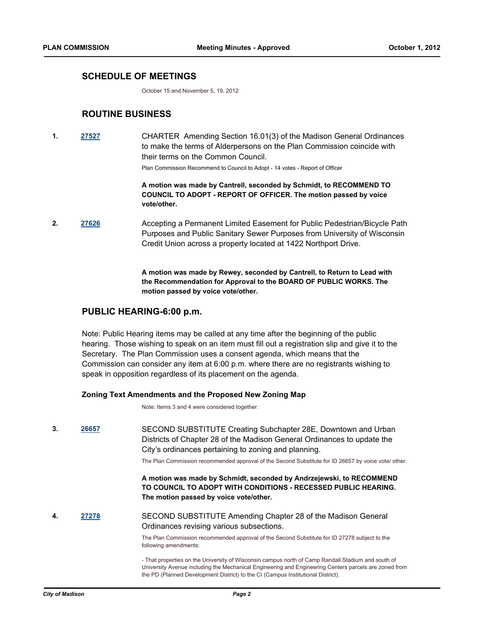## **SCHEDULE OF MEETINGS**

October 15 and November 5, 19, 2012

## **ROUTINE BUSINESS**

**1. [27527](http://madison.legistar.com/gateway.aspx?m=l&id=/matter.aspx?key=30219)** CHARTER Amending Section 16.01(3) of the Madison General Ordinances to make the terms of Alderpersons on the Plan Commission coincide with their terms on the Common Council.

Plan Commission Recommend to Council to Adopt - 14 votes - Report of Officer

**A motion was made by Cantrell, seconded by Schmidt, to RECOMMEND TO COUNCIL TO ADOPT - REPORT OF OFFICER. The motion passed by voice vote/other.**

**2. [27626](http://madison.legistar.com/gateway.aspx?m=l&id=/matter.aspx?key=30323)** Accepting a Permanent Limited Easement for Public Pedestrian/Bicycle Path Purposes and Public Sanitary Sewer Purposes from University of Wisconsin Credit Union across a property located at 1422 Northport Drive.

> **A motion was made by Rewey, seconded by Cantrell, to Return to Lead with the Recommendation for Approval to the BOARD OF PUBLIC WORKS. The motion passed by voice vote/other.**

## **PUBLIC HEARING-6:00 p.m.**

Note: Public Hearing items may be called at any time after the beginning of the public hearing. Those wishing to speak on an item must fill out a registration slip and give it to the Secretary. The Plan Commission uses a consent agenda, which means that the Commission can consider any item at 6:00 p.m. where there are no registrants wishing to speak in opposition regardless of its placement on the agenda.

#### **Zoning Text Amendments and the Proposed New Zoning Map**

Note: Items 3 and 4 were considered together.

**3. [26657](http://madison.legistar.com/gateway.aspx?m=l&id=/matter.aspx?key=29311)** SECOND SUBSTITUTE Creating Subchapter 28E, Downtown and Urban Districts of Chapter 28 of the Madison General Ordinances to update the City's ordinances pertaining to zoning and planning.

The Plan Commission recommended approval of the Second Substitute for ID 26657 by voice vote/ other.

**A motion was made by Schmidt, seconded by Andrzejewski, to RECOMMEND TO COUNCIL TO ADOPT WITH CONDITIONS - RECESSED PUBLIC HEARING. The motion passed by voice vote/other.**

**4. [27278](http://madison.legistar.com/gateway.aspx?m=l&id=/matter.aspx?key=29958)** SECOND SUBSTITUTE Amending Chapter 28 of the Madison General Ordinances revising various subsections.

> The Plan Commission recommended approval of the Second Substitute for ID 27278 subject to the following amendments:

- That properties on the University of Wisconsin campus north of Camp Randall Stadium and south of University Avenue including the Mechanical Engineering and Engineering Centers parcels are zoned from the PD (Planned Development District) to the CI (Campus Institutional District).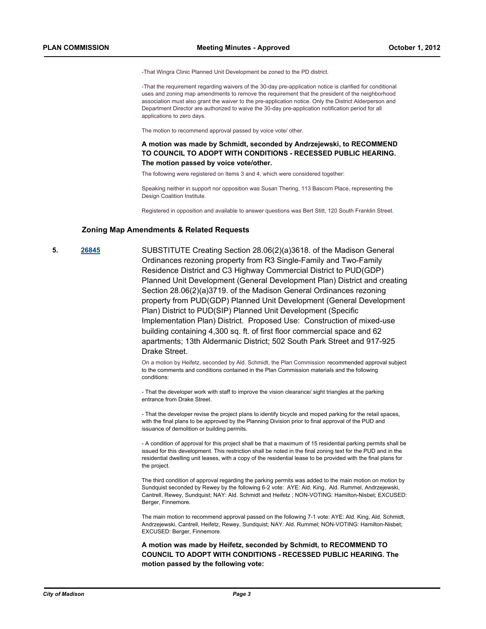-That Wingra Clinic Planned Unit Development be zoned to the PD district.

-That the requirement regarding waivers of the 30-day pre-application notice is clarified for conditional uses and zoning map amendments to remove the requirement that the president of the neighborhood association must also grant the waiver to the pre-application notice. Only the District Alderperson and Department Director are authorized to waive the 30-day pre-application notification period for all applications to zero days.

The motion to recommend approval passed by voice vote/ other.

**A motion was made by Schmidt, seconded by Andrzejewski, to RECOMMEND TO COUNCIL TO ADOPT WITH CONDITIONS - RECESSED PUBLIC HEARING. The motion passed by voice vote/other.**

The following were registered on Items 3 and 4, which were considered together:

Speaking neither in support nor opposition was Susan Thering, 113 Bascom Place, representing the Design Coalition Institute

Registered in opposition and available to answer questions was Bert Stitt, 120 South Franklin Street.

#### **Zoning Map Amendments & Related Requests**

**5. [26845](http://madison.legistar.com/gateway.aspx?m=l&id=/matter.aspx?key=29512)** SUBSTITUTE Creating Section 28.06(2)(a)3618. of the Madison General Ordinances rezoning property from R3 Single-Family and Two-Family Residence District and C3 Highway Commercial District to PUD(GDP) Planned Unit Development (General Development Plan) District and creating Section 28.06(2)(a)3719. of the Madison General Ordinances rezoning property from PUD(GDP) Planned Unit Development (General Development Plan) District to PUD(SIP) Planned Unit Development (Specific Implementation Plan) District. Proposed Use: Construction of mixed-use building containing 4,300 sq. ft. of first floor commercial space and 62 apartments; 13th Aldermanic District; 502 South Park Street and 917-925 Drake Street.

> On a motion by Heifetz, seconded by Ald. Schmidt, the Plan Commission recommended approval subject to the comments and conditions contained in the Plan Commission materials and the following conditions:

- That the developer work with staff to improve the vision clearance/ sight triangles at the parking entrance from Drake Street.

- That the developer revise the project plans to identify bicycle and moped parking for the retail spaces, with the final plans to be approved by the Planning Division prior to final approval of the PUD and issuance of demolition or building permits.

- A condition of approval for this project shall be that a maximum of 15 residential parking permits shall be issued for this development. This restriction shall be noted in the final zoning text for the PUD and in the residential dwelling unit leases, with a copy of the residential lease to be provided with the final plans for the project.

The third condition of approval regarding the parking permits was added to the main motion on motion by Sundquist seconded by Rewey by the following 6-2 vote: AYE: Ald. King, Ald. Rummel, Andrzejewski, Cantrell, Rewey, Sundquist; NAY: Ald. Schmidt and Heifetz ; NON-VOTING: Hamilton-Nisbet; EXCUSED: Berger, Finnemore.

The main motion to recommend approval passed on the following 7-1 vote: AYE: Ald. King, Ald. Schmidt, Andrzejewski, Cantrell, Heifetz, Rewey, Sundquist; NAY: Ald. Rummel; NON-VOTING: Hamilton-Nisbet; EXCUSED: Berger, Finnemore.

**A motion was made by Heifetz, seconded by Schmidt, to RECOMMEND TO COUNCIL TO ADOPT WITH CONDITIONS - RECESSED PUBLIC HEARING. The motion passed by the following vote:**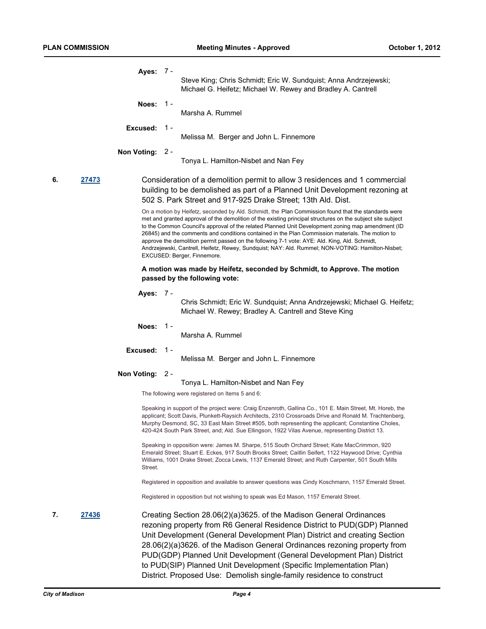|             |       | Ayes: 7 -<br>Steve King; Chris Schmidt; Eric W. Sundquist; Anna Andrzejewski;<br>Michael G. Heifetz; Michael W. Rewey and Bradley A. Cantrell                                                                                                                                                                                                                                                                                                                                                                                                                                                                                                                    |
|-------------|-------|------------------------------------------------------------------------------------------------------------------------------------------------------------------------------------------------------------------------------------------------------------------------------------------------------------------------------------------------------------------------------------------------------------------------------------------------------------------------------------------------------------------------------------------------------------------------------------------------------------------------------------------------------------------|
|             |       | Noes: $1 -$<br>Marsha A. Rummel                                                                                                                                                                                                                                                                                                                                                                                                                                                                                                                                                                                                                                  |
|             |       | <b>Excused: 1-</b><br>Melissa M. Berger and John L. Finnemore                                                                                                                                                                                                                                                                                                                                                                                                                                                                                                                                                                                                    |
|             |       | Non Voting: 2 -<br>Tonya L. Hamilton-Nisbet and Nan Fey                                                                                                                                                                                                                                                                                                                                                                                                                                                                                                                                                                                                          |
| 6.<br>27473 |       | Consideration of a demolition permit to allow 3 residences and 1 commercial<br>building to be demolished as part of a Planned Unit Development rezoning at<br>502 S. Park Street and 917-925 Drake Street; 13th Ald. Dist.                                                                                                                                                                                                                                                                                                                                                                                                                                       |
|             |       | On a motion by Heifetz, seconded by Ald. Schmidt, the Plan Commission found that the standards were<br>met and granted approval of the demolition of the existing principal structures on the subject site subject<br>to the Common Council's approval of the related Planned Unit Development zoning map amendment (ID<br>26845) and the comments and conditions contained in the Plan Commission materials. The motion to<br>approve the demolition permit passed on the following 7-1 vote: AYE: Ald. King, Ald. Schmidt,<br>Andrzejewski, Cantrell, Heifetz, Rewey, Sundquist; NAY: Ald. Rummel; NON-VOTING: Hamilton-Nisbet;<br>EXCUSED: Berger, Finnemore. |
|             |       | A motion was made by Heifetz, seconded by Schmidt, to Approve. The motion<br>passed by the following vote:                                                                                                                                                                                                                                                                                                                                                                                                                                                                                                                                                       |
|             |       | Ayes: 7 -<br>Chris Schmidt; Eric W. Sundquist; Anna Andrzejewski; Michael G. Heifetz;<br>Michael W. Rewey; Bradley A. Cantrell and Steve King                                                                                                                                                                                                                                                                                                                                                                                                                                                                                                                    |
|             |       | Noes:<br>- 1 -<br>Marsha A. Rummel                                                                                                                                                                                                                                                                                                                                                                                                                                                                                                                                                                                                                               |
|             |       | Excused: 1-<br>Melissa M. Berger and John L. Finnemore                                                                                                                                                                                                                                                                                                                                                                                                                                                                                                                                                                                                           |
|             |       | Non Voting: 2 -                                                                                                                                                                                                                                                                                                                                                                                                                                                                                                                                                                                                                                                  |
|             |       | Tonya L. Hamilton-Nisbet and Nan Fey                                                                                                                                                                                                                                                                                                                                                                                                                                                                                                                                                                                                                             |
|             |       | The following were registered on Items 5 and 6:                                                                                                                                                                                                                                                                                                                                                                                                                                                                                                                                                                                                                  |
|             |       | Speaking in support of the project were: Craig Enzenroth, Gallina Co., 101 E. Main Street, Mt. Horeb, the<br>applicant; Scott Davis, Plunkett-Raysich Architects, 2310 Crossroads Drive and Ronald M. Trachtenberg,<br>Murphy Desmond, SC, 33 East Main Street #505, both representing the applicant; Constantine Choles,<br>420-424 South Park Street, and; Ald. Sue Ellingson, 1922 Vilas Avenue, representing District 13.                                                                                                                                                                                                                                    |
|             |       | Speaking in opposition were: James M. Sharpe, 515 South Orchard Street; Kate MacCrimmon, 920<br>Emerald Street; Stuart E. Eckes, 917 South Brooks Street; Caitlin Seifert, 1122 Haywood Drive; Cynthia<br>Williams, 1001 Drake Street; Zocca Lewis, 1137 Emerald Street; and Ruth Carpenter, 501 South Mills<br>Street.                                                                                                                                                                                                                                                                                                                                          |
|             |       | Registered in opposition and available to answer questions was Cindy Koschmann, 1157 Emerald Street.                                                                                                                                                                                                                                                                                                                                                                                                                                                                                                                                                             |
|             |       | Registered in opposition but not wishing to speak was Ed Mason, 1157 Emerald Street.                                                                                                                                                                                                                                                                                                                                                                                                                                                                                                                                                                             |
| 7.          | 27436 | Creating Section 28.06(2)(a)3625. of the Madison General Ordinances<br>rezoning property from R6 General Residence District to PUD(GDP) Planned<br>Unit Development (General Development Plan) District and creating Section<br>28.06(2)(a)3626. of the Madison General Ordinances rezoning property from<br>PUD(GDP) Planned Unit Development (General Development Plan) District<br>to PUD(SIP) Planned Unit Development (Specific Implementation Plan)<br>District. Proposed Use: Demolish single-family residence to construct                                                                                                                               |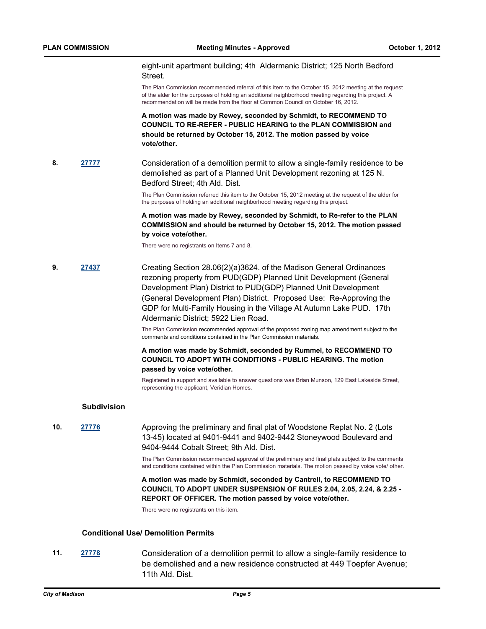eight-unit apartment building; 4th Aldermanic District; 125 North Bedford **Street** 

The Plan Commission recommended referral of this item to the October 15, 2012 meeting at the request of the alder for the purposes of holding an additional neighborhood meeting regarding this project. A recommendation will be made from the floor at Common Council on October 16, 2012.

**A motion was made by Rewey, seconded by Schmidt, to RECOMMEND TO COUNCIL TO RE-REFER - PUBLIC HEARING to the PLAN COMMISSION and should be returned by October 15, 2012. The motion passed by voice vote/other.**

**8. [27777](http://madison.legistar.com/gateway.aspx?m=l&id=/matter.aspx?key=30487)** Consideration of a demolition permit to allow a single-family residence to be demolished as part of a Planned Unit Development rezoning at 125 N. Bedford Street; 4th Ald. Dist.

> The Plan Commission referred this item to the October 15, 2012 meeting at the request of the alder for the purposes of holding an additional neighborhood meeting regarding this project.

#### **A motion was made by Rewey, seconded by Schmidt, to Re-refer to the PLAN COMMISSION and should be returned by October 15, 2012. The motion passed by voice vote/other.**

There were no registrants on Items 7 and 8.

**9. [27437](http://madison.legistar.com/gateway.aspx?m=l&id=/matter.aspx?key=30121)** Creating Section 28.06(2)(a)3624. of the Madison General Ordinances rezoning property from PUD(GDP) Planned Unit Development (General Development Plan) District to PUD(GDP) Planned Unit Development (General Development Plan) District. Proposed Use: Re-Approving the GDP for Multi-Family Housing in the Village At Autumn Lake PUD. 17th Aldermanic District; 5922 Lien Road.

> The Plan Commission recommended approval of the proposed zoning map amendment subject to the comments and conditions contained in the Plan Commission materials.

### **A motion was made by Schmidt, seconded by Rummel, to RECOMMEND TO COUNCIL TO ADOPT WITH CONDITIONS - PUBLIC HEARING. The motion passed by voice vote/other.**

Registered in support and available to answer questions was Brian Munson, 129 East Lakeside Street, representing the applicant, Veridian Homes.

#### **Subdivision**

**10. [27776](http://madison.legistar.com/gateway.aspx?m=l&id=/matter.aspx?key=30486)** Approving the preliminary and final plat of Woodstone Replat No. 2 (Lots 13-45) located at 9401-9441 and 9402-9442 Stoneywood Boulevard and 9404-9444 Cobalt Street; 9th Ald. Dist.

> The Plan Commission recommended approval of the preliminary and final plats subject to the comments and conditions contained within the Plan Commission materials. The motion passed by voice vote/ other.

> **A motion was made by Schmidt, seconded by Cantrell, to RECOMMEND TO COUNCIL TO ADOPT UNDER SUSPENSION OF RULES 2.04, 2.05, 2.24, & 2.25 - REPORT OF OFFICER. The motion passed by voice vote/other.**

There were no registrants on this item.

### **Conditional Use/ Demolition Permits**

**11. [27778](http://madison.legistar.com/gateway.aspx?m=l&id=/matter.aspx?key=30488)** Consideration of a demolition permit to allow a single-family residence to be demolished and a new residence constructed at 449 Toepfer Avenue; 11th Ald. Dist.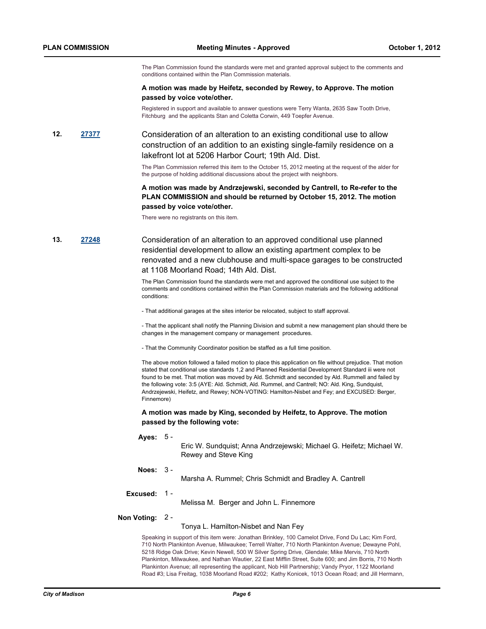The Plan Commission found the standards were met and granted approval subject to the comments and conditions contained within the Plan Commission materials.

#### **A motion was made by Heifetz, seconded by Rewey, to Approve. The motion passed by voice vote/other.**

Registered in support and available to answer questions were Terry Wanta, 2635 Saw Tooth Drive, Fitchburg and the applicants Stan and Coletta Corwin, 449 Toepfer Avenue.

**12. [27377](http://madison.legistar.com/gateway.aspx?m=l&id=/matter.aspx?key=30060)** Consideration of an alteration to an existing conditional use to allow construction of an addition to an existing single-family residence on a lakefront lot at 5206 Harbor Court; 19th Ald. Dist.

> The Plan Commission referred this item to the October 15, 2012 meeting at the request of the alder for the purpose of holding additional discussions about the project with neighbors.

#### **A motion was made by Andrzejewski, seconded by Cantrell, to Re-refer to the PLAN COMMISSION and should be returned by October 15, 2012. The motion passed by voice vote/other.**

There were no registrants on this item.

**13. [27248](http://madison.legistar.com/gateway.aspx?m=l&id=/matter.aspx?key=29924)** Consideration of an alteration to an approved conditional use planned residential development to allow an existing apartment complex to be renovated and a new clubhouse and multi-space garages to be constructed at 1108 Moorland Road; 14th Ald. Dist.

> The Plan Commission found the standards were met and approved the conditional use subject to the comments and conditions contained within the Plan Commission materials and the following additional conditions:

- That additional garages at the sites interior be relocated, subject to staff approval.

- That the applicant shall notify the Planning Division and submit a new management plan should there be changes in the management company or management procedures.

- That the Community Coordinator position be staffed as a full time position.

The above motion followed a failed motion to place this application on file without prejudice. That motion stated that conditional use standards 1,2 and Planned Residential Development Standard iii were not found to be met. That motion was moved by Ald. Schmidt and seconded by Ald. Rummell and failed by the following vote: 3:5 (AYE: Ald. Schmidt, Ald. Rummel, and Cantrell; NO: Ald. King, Sundquist, Andrzejewski, Heifetz, and Rewey; NON-VOTING: Hamilton-Nisbet and Fey; and EXCUSED: Berger, Finnemore)

**A motion was made by King, seconded by Heifetz, to Approve. The motion passed by the following vote:**

**Ayes:** 5 -

Eric W. Sundquist; Anna Andrzejewski; Michael G. Heifetz; Michael W. Rewey and Steve King

**Noes:** 3 -

Marsha A. Rummel; Chris Schmidt and Bradley A. Cantrell

#### **Excused:** 1 -

Melissa M. Berger and John L. Finnemore

#### **Non Voting:** 2 -

Tonya L. Hamilton-Nisbet and Nan Fey

Speaking in support of this item were: Jonathan Brinkley, 100 Camelot Drive, Fond Du Lac; Kim Ford, 710 North Plankinton Avenue, Milwaukee; Terrell Walter, 710 North Plankinton Avenue; Dewayne Pohl, 5218 Ridge Oak Drive; Kevin Newell, 500 W Silver Spring Drive, Glendale; Mike Mervis, 710 North Plankinton, Milwaukee, and Nathan Wautier, 22 East Mifflin Street, Suite 600; and Jim Borris, 710 North Plankinton Avenue; all representing the applicant, Nob Hill Partnership; Vandy Pryor, 1122 Moorland Road #3; Lisa Freitag, 1038 Moorland Road #202; Kathy Konicek, 1013 Ocean Road; and Jill Hermann,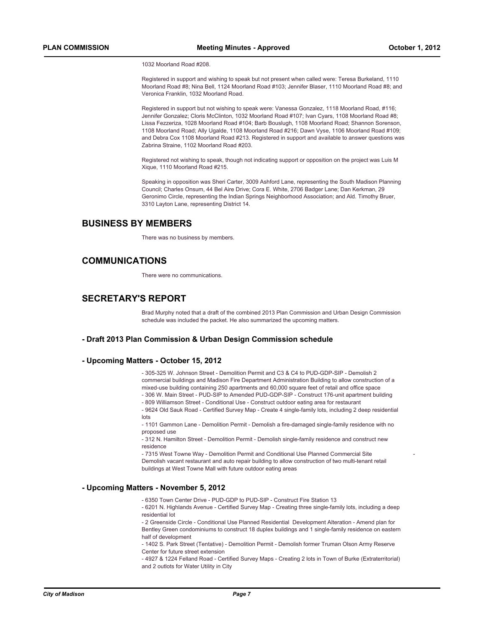1032 Moorland Road #208.

Registered in support and wishing to speak but not present when called were: Teresa Burkeland, 1110 Moorland Road #8; Nina Bell, 1124 Moorland Road #103; Jennifer Blaser, 1110 Moorland Road #8; and Veronica Franklin, 1032 Moorland Road.

Registered in support but not wishing to speak were: Vanessa Gonzalez, 1118 Moorland Road, #116; Jennifer Gonzalez; Cloris McClinton, 1032 Moorland Road #107; Ivan Cyars, 1108 Moorland Road #8; Lissa Fezzeriza, 1028 Moorland Road #104; Barb Bouslugh, 1108 Moorland Road; Shannon Sorenson, 1108 Moorland Road; Ally Ugalde, 1108 Moorland Road #216; Dawn Vyse, 1106 Moorland Road #109; and Debra Cox 1108 Moorland Road #213. Registered in support and available to answer questions was Zabrina Straine, 1102 Moorland Road #203.

Registered not wishing to speak, though not indicating support or opposition on the project was Luis M Xique, 1110 Moorland Road #215.

Speaking in opposition was Sheri Carter, 3009 Ashford Lane, representing the South Madison Planning Council; Charles Onsum, 44 Bel Aire Drive; Cora E. White, 2706 Badger Lane; Dan Kerkman, 29 Geronimo Circle, representing the Indian Springs Neighborhood Association; and Ald. Timothy Bruer, 3310 Layton Lane, representing District 14.

## **BUSINESS BY MEMBERS**

There was no business by members.

## **COMMUNICATIONS**

There were no communications.

## **SECRETARY'S REPORT**

Brad Murphy noted that a draft of the combined 2013 Plan Commission and Urban Design Commission schedule was included the packet. He also summarized the upcoming matters.

#### **- Draft 2013 Plan Commission & Urban Design Commission schedule**

#### **- Upcoming Matters - October 15, 2012**

- 305-325 W. Johnson Street - Demolition Permit and C3 & C4 to PUD-GDP-SIP - Demolish 2 commercial buildings and Madison Fire Department Administration Building to allow construction of a mixed-use building containing 250 apartments and 60,000 square feet of retail and office space - 306 W. Main Street - PUD-SIP to Amended PUD-GDP-SIP - Construct 176-unit apartment building

- 809 Williamson Street - Conditional Use - Construct outdoor eating area for restaurant

- 9624 Old Sauk Road - Certified Survey Map - Create 4 single-family lots, including 2 deep residential lots

- 1101 Gammon Lane - Demolition Permit - Demolish a fire-damaged single-family residence with no proposed use

- 312 N. Hamilton Street - Demolition Permit - Demolish single-family residence and construct new residence

- 7315 West Towne Way - Demolition Permit and Conditional Use Planned Commercial Site - Demolish vacant restaurant and auto repair building to allow construction of two multi-tenant retail buildings at West Towne Mall with future outdoor eating areas

#### **- Upcoming Matters - November 5, 2012**

- 6350 Town Center Drive - PUD-GDP to PUD-SIP - Construct Fire Station 13

- 6201 N. Highlands Avenue - Certified Survey Map - Creating three single-family lots, including a deep residential lot

- 2 Greenside Circle - Conditional Use Planned Residential Development Alteration - Amend plan for Bentley Green condominiums to construct 18 duplex buildings and 1 single-family residence on eastern half of development

- 1402 S. Park Street (Tentative) - Demolition Permit - Demolish former Truman Olson Army Reserve Center for future street extension

- 4927 & 1224 Felland Road - Certified Survey Maps - Creating 2 lots in Town of Burke (Extraterritorial) and 2 outlots for Water Utility in City